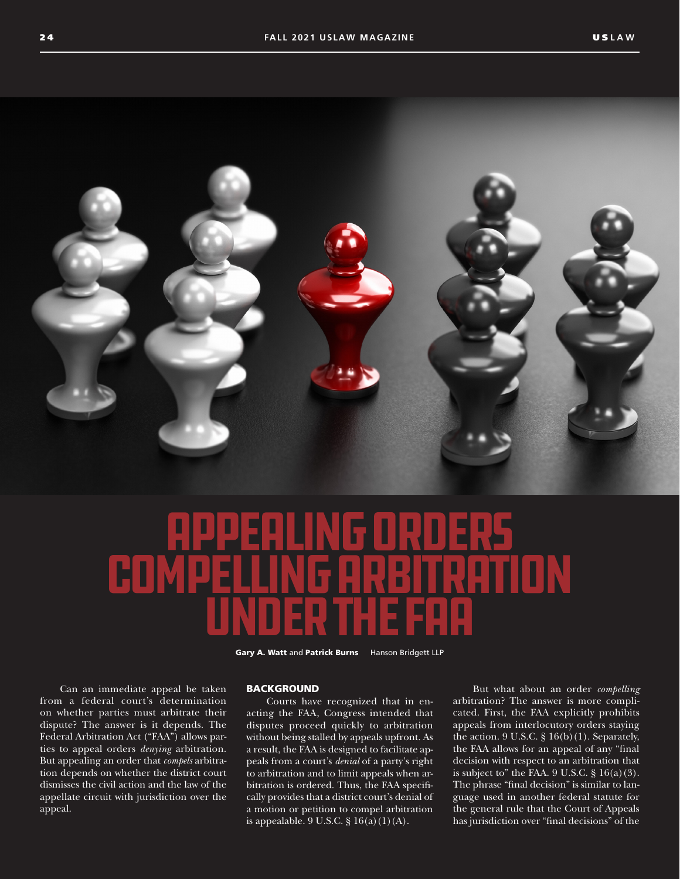

# Appealing Orders Compelling Arbitration Under the FAa

Gary A. Watt and Patrick Burns Hanson Bridgett LLP

Can an immediate appeal be taken from a federal court's determination on whether parties must arbitrate their dispute? The answer is it depends. The Federal Arbitration Act ("FAA") allows parties to appeal orders *denying* arbitration. But appealing an order that *compels* arbitration depends on whether the district court dismisses the civil action and the law of the appellate circuit with jurisdiction over the appeal.

# **BACKGROUND**

Courts have recognized that in enacting the FAA, Congress intended that disputes proceed quickly to arbitration without being stalled by appeals upfront. As a result, the FAA is designed to facilitate appeals from a court's *denial* of a party's right to arbitration and to limit appeals when arbitration is ordered. Thus, the FAA specifically provides that a district court's denial of a motion or petition to compel arbitration is appealable. 9 U.S.C. § 16(a)(1)(A).

But what about an order *compelling* arbitration? The answer is more complicated. First, the FAA explicitly prohibits appeals from interlocutory orders staying the action.  $9$  U.S.C.  $§$   $16(b)(1)$ . Separately, the FAA allows for an appeal of any "final decision with respect to an arbitration that is subject to" the FAA.  $9$  U.S.C.  $§$  16(a)(3). The phrase "final decision" is similar to language used in another federal statute for the general rule that the Court of Appeals has jurisdiction over "final decisions" of the